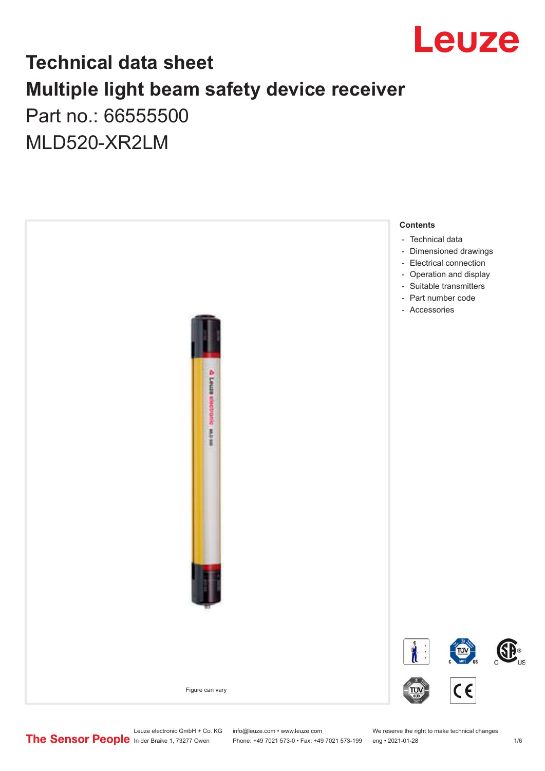

## **Technical data sheet Multiple light beam safety device receiver** Part no.: 66555500

MLD520-XR2LM

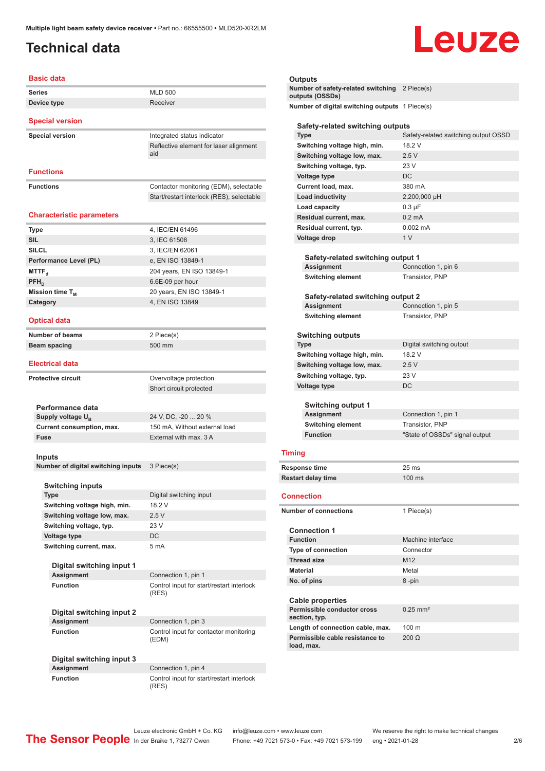## <span id="page-1-0"></span>**Technical data**

# Leuze

#### **Basic data**

| <b>Series</b>          | <b>MLD 500</b>                                |
|------------------------|-----------------------------------------------|
| Device type            | Receiver                                      |
| <b>Special version</b> |                                               |
| <b>Special version</b> | Integrated status indicator                   |
|                        | Reflective element for laser alignment<br>aid |

#### **Functions**

**Functions Functions Contactor monitoring (EDM), selectable** Start/restart interlock (RES), selectable

#### **Characteristic parameters**

| <b>Type</b>            | 4, IEC/EN 61496           |
|------------------------|---------------------------|
| <b>SIL</b>             | 3, IEC 61508              |
| <b>SILCL</b>           | 3, IEC/EN 62061           |
| Performance Level (PL) | e, EN ISO 13849-1         |
| MTTF <sub>a</sub>      | 204 years, EN ISO 13849-1 |
| $PFH_{n}$              | 6.6E-09 per hour          |
| Mission time $T_M$     | 20 years, EN ISO 13849-1  |
| Category               | 4, EN ISO 13849           |
|                        |                           |

2 Piece(s) **Beam spacing** 500 mm

#### **Optical data**

| <b>Number of beams</b> |  |
|------------------------|--|
| Beam spacing           |  |

#### **Electrical data**

| <b>Protective circuit</b> |                               | Overvoltage protection        |
|---------------------------|-------------------------------|-------------------------------|
|                           |                               | Short circuit protected       |
|                           |                               |                               |
|                           | Performance data              |                               |
|                           | Supply voltage U <sub>p</sub> | 24 V, DC, -20  20 %           |
|                           | Current consumption, max.     | 150 mA, Without external load |
|                           | <b>Fuse</b>                   | External with max, 3 A        |
|                           |                               |                               |
|                           |                               |                               |

#### **Inputs**

**Number of digital switching inputs** 3 Piece(s)

| <b>Switching inputs</b>      |                         |
|------------------------------|-------------------------|
| <b>Type</b>                  | Digital switching input |
| Switching voltage high, min. | 18 2 V                  |
| Switching voltage low, max.  | 2.5V                    |
| Switching voltage, typ.      | 23V                     |
| Voltage type                 | DC.                     |
| Switching current, max.      | 5 <sub>m</sub> A        |

(RES)

(EDM)

#### **Digital switching input 1 Assignment** Connection 1, pin 1 **Function Control input for start/restart interlock**

**Digital switching input 2 Assignment** Connection 1, pin 3 **Function Control input for contactor monitoring** 

**Digital switching input 3**

**Connection 1, pin 4 Function** Control input for start/restart interlock (RES)

#### **Outputs**

| Number of safety-related switching 2 Piece(s) |  |
|-----------------------------------------------|--|
| outputs (OSSDs)                               |  |
| $\mathbf{N}$                                  |  |

switching outputs 1 Piece(s)

#### **Safety-related switching outputs**

| <b>Type</b>                  | Safety-related switching output OSSD |
|------------------------------|--------------------------------------|
| Switching voltage high, min. | 18.2 V                               |
| Switching voltage low, max.  | 2.5V                                 |
| Switching voltage, typ.      | 23 V                                 |
| Voltage type                 | DC.                                  |
| Current load, max.           | 380 mA                               |
| <b>Load inductivity</b>      | 2,200,000 µH                         |
| Load capacity                | $0.3 \mu F$                          |
| Residual current, max.       | $0.2 \text{ mA}$                     |
| Residual current, typ.       | $0.002 \, \text{mA}$                 |
| Voltage drop                 | 1 <sub>V</sub>                       |
|                              |                                      |

| Safety-related switching output 1 |                     |
|-----------------------------------|---------------------|
| Assignment                        | Connection 1, pin 6 |
| <b>Switching element</b>          | Transistor, PNP     |

### **Safety-related switching output 2**

| Assignment               | Connection 1, pin 5 |
|--------------------------|---------------------|
| <b>Switching element</b> | Transistor, PNP     |

#### **Switching outputs**

| <b>Type</b>                  | Digital switching output       |
|------------------------------|--------------------------------|
| Switching voltage high, min. | 18.2 V                         |
| Switching voltage low, max.  | 2.5V                           |
| Switching voltage, typ.      | 23 V                           |
| Voltage type                 | DC                             |
| <b>Switching output 1</b>    |                                |
| <b>Assignment</b>            | Connection 1, pin 1            |
| <b>Switching element</b>     | Transistor, PNP                |
| <b>Function</b>              | "State of OSSDs" signal output |
|                              |                                |

#### **Timing**

| <b>Response time</b>      | $25 \,\mathrm{ms}$ |
|---------------------------|--------------------|
| <b>Restart delay time</b> | $100 \text{ ms}$   |

#### **Connection**

| Number of connections |                                               | 1 Piece(s)          |
|-----------------------|-----------------------------------------------|---------------------|
|                       | <b>Connection 1</b>                           |                     |
|                       | <b>Function</b>                               | Machine interface   |
|                       | Type of connection                            | Connector           |
|                       | <b>Thread size</b>                            | M <sub>12</sub>     |
|                       | <b>Material</b>                               | Metal               |
|                       | No. of pins                                   | 8-pin               |
|                       | <b>Cable properties</b>                       |                     |
|                       | Permissible conductor cross<br>section, typ.  | $0.25 \text{ mm}^2$ |
|                       | Length of connection cable, max.              | $100 \text{ m}$     |
|                       | Permissible cable resistance to<br>load, max. | $200 \Omega$        |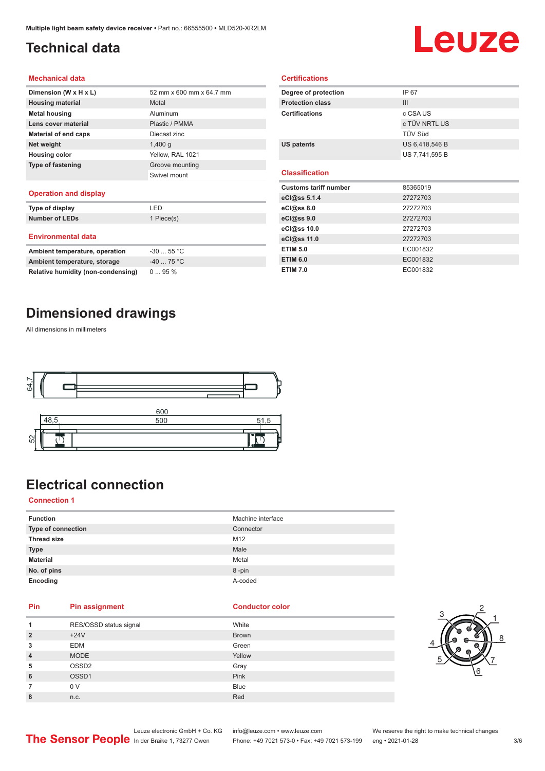## <span id="page-2-0"></span>**Technical data**

## Leuze

#### **Mechanical data**

| Dimension (W x H x L)    | 52 mm x 600 mm x 64.7 mm |
|--------------------------|--------------------------|
| <b>Housing material</b>  | Metal                    |
| <b>Metal housing</b>     | Aluminum                 |
| Lens cover material      | Plastic / PMMA           |
| Material of end caps     | Diecast zinc             |
| Net weight               | $1,400$ q                |
| <b>Housing color</b>     | Yellow, RAL 1021         |
| <b>Type of fastening</b> | Groove mounting          |
|                          | Swivel mount             |
|                          |                          |

#### **Operation and display**

| Type of display                | LED        |
|--------------------------------|------------|
| <b>Number of LEDs</b>          | 1 Piece(s) |
| <b>Environmental data</b>      |            |
| Ambient temperature, operation | $-3055$ °C |
| Ambient temperature, storage   | $-4075 °C$ |

| Degree of protection         | IP 67          |  |
|------------------------------|----------------|--|
| <b>Protection class</b>      | III            |  |
| <b>Certifications</b>        | c CSA US       |  |
|                              | c TÜV NRTL US  |  |
|                              | TÜV Süd        |  |
| <b>US patents</b>            | US 6,418,546 B |  |
|                              | US 7,741,595 B |  |
|                              |                |  |
| <b>Classification</b>        |                |  |
|                              |                |  |
| <b>Customs tariff number</b> | 85365019       |  |
| eCl@ss $5.1.4$               | 27272703       |  |
| eCl@ss 8.0                   | 27272703       |  |
| eCl@ss 9.0                   | 27272703       |  |
| eCl@ss 10.0                  | 27272703       |  |
| eCl@ss 11.0                  | 27272703       |  |
| <b>ETIM 5.0</b>              | EC001832       |  |

**ETIM 7.0** EC001832

**Certifications**

## **Dimensioned drawings**

**Relative humidity (non-condensing)** 0 ... 95 %

All dimensions in millimeters



## **Electrical connection**

#### **Connection 1**

| <b>Function</b>    | Machine interface |
|--------------------|-------------------|
| Type of connection | Connector         |
| <b>Thread size</b> | M12               |
| <b>Type</b>        | Male              |
| <b>Material</b>    | Metal             |
| No. of pins        | 8-pin             |
| Encoding           | A-coded           |

#### **Pin Pin assignment Conductor Conductor Color**

| 1              | RES/OSSD status signal | White        |
|----------------|------------------------|--------------|
| $\overline{2}$ | $+24V$                 | <b>Brown</b> |
| 3              | <b>EDM</b>             | Green        |
| $\overline{4}$ | <b>MODE</b>            | Yellow       |
| 5              | OSSD <sub>2</sub>      | Gray         |
| 6              | OSSD1                  | Pink         |
| 7              | 0 V                    | <b>Blue</b>  |
| 8              | n.c.                   | Red          |



Leuze electronic GmbH + Co. KG info@leuze.com • www.leuze.com We reserve the right to make technical changes<br>
The Sensor People in der Braike 1, 73277 Owen Phone: +49 7021 573-0 • Fax: +49 7021 573-199 eng • 2021-01-28 Phone: +49 7021 573-0 • Fax: +49 7021 573-199 eng • 2021-01-28 3/6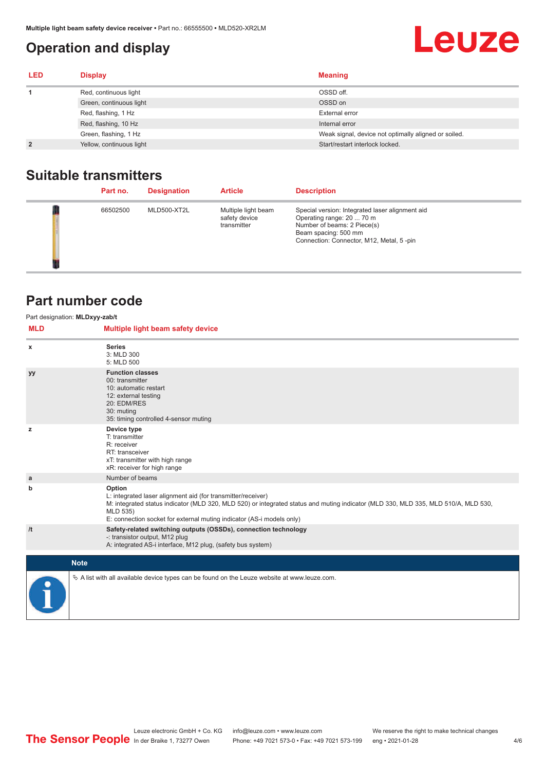## <span id="page-3-0"></span>**Operation and display**

## **Leuze**

| <b>LED</b>     | <b>Display</b>           | <b>Meaning</b>                                       |
|----------------|--------------------------|------------------------------------------------------|
|                | Red, continuous light    | OSSD off.                                            |
|                | Green, continuous light  | OSSD on                                              |
|                | Red, flashing, 1 Hz      | External error                                       |
|                | Red, flashing, 10 Hz     | Internal error                                       |
|                | Green, flashing, 1 Hz    | Weak signal, device not optimally aligned or soiled. |
| $\overline{2}$ | Yellow, continuous light | Start/restart interlock locked.                      |

## **Suitable transmitters**

| Part no. | <b>Designation</b> | <b>Article</b>                                      | <b>Description</b>                                                                                                                                                              |
|----------|--------------------|-----------------------------------------------------|---------------------------------------------------------------------------------------------------------------------------------------------------------------------------------|
| 66502500 | MLD500-XT2L        | Multiple light beam<br>safety device<br>transmitter | Special version: Integrated laser alignment aid<br>Operating range: 20  70 m<br>Number of beams: 2 Piece(s)<br>Beam spacing: 500 mm<br>Connection: Connector, M12, Metal, 5-pin |

## **Part number code**

| <b>MLD</b> | Part designation: MLDxyy-zab/t<br>Multiple light beam safety device                                                                                                                                                                                                                               |
|------------|---------------------------------------------------------------------------------------------------------------------------------------------------------------------------------------------------------------------------------------------------------------------------------------------------|
| x          | <b>Series</b><br>3: MLD 300<br>5: MLD 500                                                                                                                                                                                                                                                         |
| уу         | <b>Function classes</b><br>00: transmitter<br>10: automatic restart<br>12: external testing<br>20: EDM/RES<br>30: muting<br>35: timing controlled 4-sensor muting                                                                                                                                 |
| z          | Device type<br>T: transmitter<br>R: receiver<br>RT: transceiver<br>xT: transmitter with high range<br>xR: receiver for high range                                                                                                                                                                 |
| a          | Number of beams                                                                                                                                                                                                                                                                                   |
| b          | Option<br>L: integrated laser alignment aid (for transmitter/receiver)<br>M: integrated status indicator (MLD 320, MLD 520) or integrated status and muting indicator (MLD 330, MLD 335, MLD 510/A, MLD 530,<br>MLD 535)<br>E: connection socket for external muting indicator (AS-i models only) |
| /t         | Safety-related switching outputs (OSSDs), connection technology<br>-: transistor output, M12 plug<br>A: integrated AS-i interface, M12 plug, (safety bus system)                                                                                                                                  |
|            | <b>Note</b>                                                                                                                                                                                                                                                                                       |
|            | $\&$ A list with all available device types can be found on the Leuze website at www.leuze.com.                                                                                                                                                                                                   |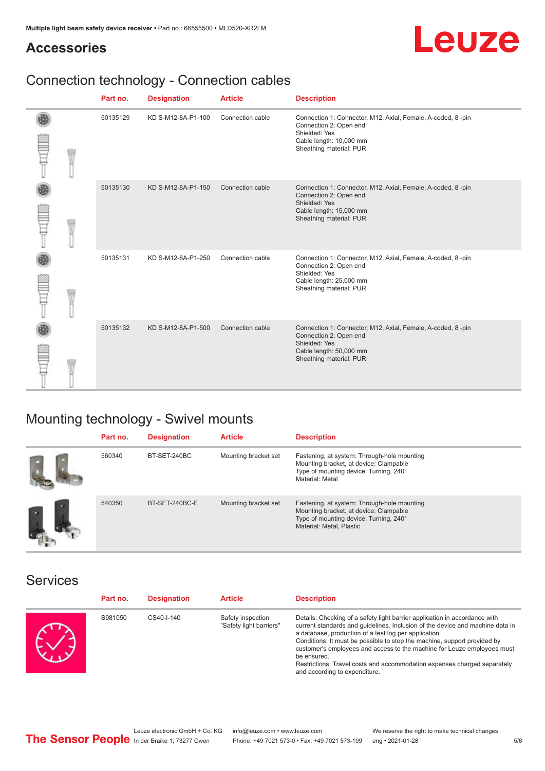## **Accessories**



## Connection technology - Connection cables

|  | Part no. | <b>Designation</b> | <b>Article</b>   | <b>Description</b>                                                                                                                                           |
|--|----------|--------------------|------------------|--------------------------------------------------------------------------------------------------------------------------------------------------------------|
|  | 50135129 | KD S-M12-8A-P1-100 | Connection cable | Connection 1: Connector, M12, Axial, Female, A-coded, 8-pin<br>Connection 2: Open end<br>Shielded: Yes<br>Cable length: 10,000 mm<br>Sheathing material: PUR |
|  | 50135130 | KD S-M12-8A-P1-150 | Connection cable | Connection 1: Connector, M12, Axial, Female, A-coded, 8-pin<br>Connection 2: Open end<br>Shielded: Yes<br>Cable length: 15,000 mm<br>Sheathing material: PUR |
|  | 50135131 | KD S-M12-8A-P1-250 | Connection cable | Connection 1: Connector, M12, Axial, Female, A-coded, 8-pin<br>Connection 2: Open end<br>Shielded: Yes<br>Cable length: 25,000 mm<br>Sheathing material: PUR |
|  | 50135132 | KD S-M12-8A-P1-500 | Connection cable | Connection 1: Connector, M12, Axial, Female, A-coded, 8-pin<br>Connection 2: Open end<br>Shielded: Yes<br>Cable length: 50,000 mm<br>Sheathing material: PUR |

## Mounting technology - Swivel mounts

| Part no. | <b>Designation</b> | <b>Article</b>       | <b>Description</b>                                                                                                                                          |
|----------|--------------------|----------------------|-------------------------------------------------------------------------------------------------------------------------------------------------------------|
| 560340   | BT-SET-240BC       | Mounting bracket set | Fastening, at system: Through-hole mounting<br>Mounting bracket, at device: Clampable<br>Type of mounting device: Turning, 240°<br>Material: Metal          |
| 540350   | BT-SET-240BC-E     | Mounting bracket set | Fastening, at system: Through-hole mounting<br>Mounting bracket, at device: Clampable<br>Type of mounting device: Turning, 240°<br>Material: Metal, Plastic |

### Services

| Part no. | <b>Designation</b> | <b>Article</b>                               | <b>Description</b>                                                                                                                                                                                                                                                                                                                                                                                                                                                                                      |
|----------|--------------------|----------------------------------------------|---------------------------------------------------------------------------------------------------------------------------------------------------------------------------------------------------------------------------------------------------------------------------------------------------------------------------------------------------------------------------------------------------------------------------------------------------------------------------------------------------------|
| S981050  | CS40-I-140         | Safety inspection<br>"Safety light barriers" | Details: Checking of a safety light barrier application in accordance with<br>current standards and quidelines. Inclusion of the device and machine data in<br>a database, production of a test log per application.<br>Conditions: It must be possible to stop the machine, support provided by<br>customer's employees and access to the machine for Leuze employees must<br>be ensured.<br>Restrictions: Travel costs and accommodation expenses charged separately<br>and according to expenditure. |